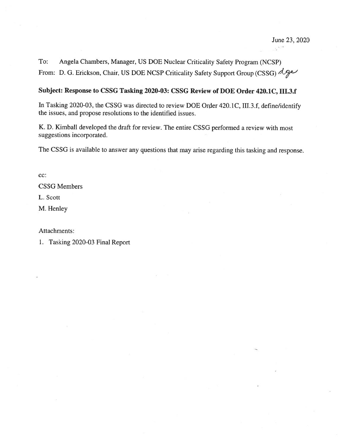$\mathbb{C}^{n+1}$ 

Angela Chambers, Manager, US DOE Nuclear Criticality Safety Program (NCSP) To: From: D. G. Erickson, Chair, US DOE NCSP Criticality Safety Support Group (CSSG)  $\triangle$ ge

# Subject: Response to CSSG Tasking 2020-03: CSSG Review of DOE Order 420.1C, III.3.f

In Tasking 2020-03, the CSSG was directed to review DOE Order 420.1C, III.3.f, define/identify the issues, and propose resolutions to the identified issues.

K. D. Kimball developed the draft for review. The entire CSSG performed a review with most suggestions incorporated.

The CSSG is available to answer any questions that may arise regarding this tasking and response.

cc:

**CSSG Members** 

L. Scott

M. Henley

Attachments:

1. Tasking 2020-03 Final Report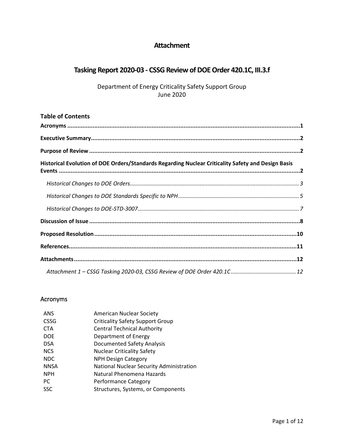# **Attachment**

# **Tasking Report 2020-03 - CSSG Review of DOE Order 420.1C, III.3.f**

Department of Energy Criticality Safety Support Group June 2020

| <b>Table of Contents</b>                                                                           |  |
|----------------------------------------------------------------------------------------------------|--|
|                                                                                                    |  |
|                                                                                                    |  |
|                                                                                                    |  |
| Historical Evolution of DOE Orders/Standards Regarding Nuclear Criticality Safety and Design Basis |  |
|                                                                                                    |  |
|                                                                                                    |  |
|                                                                                                    |  |
|                                                                                                    |  |
|                                                                                                    |  |
|                                                                                                    |  |
|                                                                                                    |  |
|                                                                                                    |  |

# <span id="page-1-0"></span>Acronyms

| <b>American Nuclear Society</b>          |  |
|------------------------------------------|--|
| <b>Criticality Safety Support Group</b>  |  |
| <b>Central Technical Authority</b>       |  |
| Department of Energy                     |  |
| <b>Documented Safety Analysis</b>        |  |
| <b>Nuclear Criticality Safety</b>        |  |
| <b>NPH Design Category</b>               |  |
| National Nuclear Security Administration |  |
| Natural Phenomena Hazards                |  |
| <b>Performance Category</b>              |  |
| Structures, Systems, or Components       |  |
|                                          |  |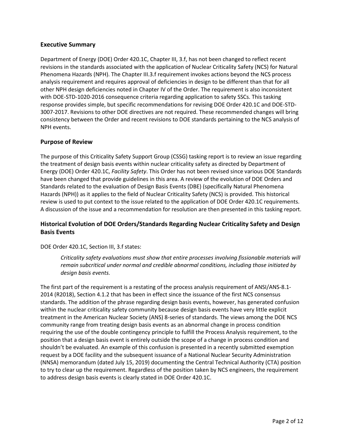### <span id="page-2-0"></span>**Executive Summary**

Department of Energy (DOE) Order 420.1C, Chapter III, 3.f, has not been changed to reflect recent revisions in the standards associated with the application of Nuclear Criticality Safety (NCS) for Natural Phenomena Hazards (NPH). The Chapter III.3.f requirement invokes actions beyond the NCS process analysis requirement and requires approval of deficiencies in design to be different than that for all other NPH design deficiencies noted in Chapter IV of the Order. The requirement is also inconsistent with DOE-STD-1020-2016 consequence criteria regarding application to safety SSCs. This tasking response provides simple, but specific recommendations for revising DOE Order 420.1C and DOE-STD-3007-2017. Revisions to other DOE directives are not required. These recommended changes will bring consistency between the Order and recent revisions to DOE standards pertaining to the NCS analysis of NPH events.

### <span id="page-2-1"></span>**Purpose of Review**

The purpose of this Criticality Safety Support Group (CSSG) tasking report is to review an issue regarding the treatment of design basis events within nuclear criticality safety as directed by Department of Energy (DOE) Order 420.1C, *Facility Safety*. This Order has not been revised since various DOE Standards have been changed that provide guidelines in this area. A review of the evolution of DOE Orders and Standards related to the evaluation of Design Basis Events (DBE) (specifically Natural Phenomena Hazards (NPH)) as it applies to the field of Nuclear Criticality Safety (NCS) is provided. This historical review is used to put context to the issue related to the application of DOE Order 420.1C requirements. A discussion of the issue and a recommendation for resolution are then presented in this tasking report.

# <span id="page-2-2"></span>**Historical Evolution of DOE Orders/Standards Regarding Nuclear Criticality Safety and Design Basis Events**

### DOE Order 420.1C, Section III, 3.f states:

*Criticality safety evaluations must show that entire processes involving fissionable materials will remain subcritical under normal and credible abnormal conditions, including those initiated by design basis events.*

The first part of the requirement is a restating of the process analysis requirement of ANSI/ANS-8.1- 2014 (R2018), Section 4.1.2 that has been in effect since the issuance of the first NCS consensus standards. The addition of the phrase regarding design basis events, however, has generated confusion within the nuclear criticality safety community because design basis events have very little explicit treatment in the American Nuclear Society (ANS) 8-series of standards. The views among the DOE NCS community range from treating design basis events as an abnormal change in process condition requiring the use of the double contingency principle to fulfill the Process Analysis requirement, to the position that a design basis event is entirely outside the scope of a change in process condition and shouldn't be evaluated. An example of this confusion is presented in a recently submitted exemption request by a DOE facility and the subsequent issuance of a National Nuclear Security Administration (NNSA) memorandum (dated July 15, 2019) documenting the Central Technical Authority (CTA) position to try to clear up the requirement. Regardless of the position taken by NCS engineers, the requirement to address design basis events is clearly stated in DOE Order 420.1C.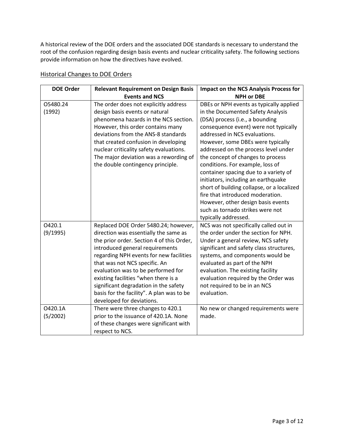A historical review of the DOE orders and the associated DOE standards is necessary to understand the root of the confusion regarding design basis events and nuclear criticality safety. The following sections provide information on how the directives have evolved.

| <b>DOE Order</b>    | <b>Relevant Requirement on Design Basis</b>                                                                                                                                                                                                                                                                                                                                                                                                | <b>Impact on the NCS Analysis Process for</b>                                                                                                                                                                                                                                                                                                                                                                                                                                                                                                                                                                       |
|---------------------|--------------------------------------------------------------------------------------------------------------------------------------------------------------------------------------------------------------------------------------------------------------------------------------------------------------------------------------------------------------------------------------------------------------------------------------------|---------------------------------------------------------------------------------------------------------------------------------------------------------------------------------------------------------------------------------------------------------------------------------------------------------------------------------------------------------------------------------------------------------------------------------------------------------------------------------------------------------------------------------------------------------------------------------------------------------------------|
|                     | <b>Events and NCS</b>                                                                                                                                                                                                                                                                                                                                                                                                                      | <b>NPH or DBE</b>                                                                                                                                                                                                                                                                                                                                                                                                                                                                                                                                                                                                   |
| 05480.24<br>(1992)  | The order does not explicitly address<br>design basis events or natural<br>phenomena hazards in the NCS section.<br>However, this order contains many<br>deviations from the ANS-8 standards<br>that created confusion in developing<br>nuclear criticality safety evaluations.<br>The major deviation was a rewording of<br>the double contingency principle.                                                                             | DBEs or NPH events as typically applied<br>in the Documented Safety Analysis<br>(DSA) process (i.e., a bounding<br>consequence event) were not typically<br>addressed in NCS evaluations.<br>However, some DBEs were typically<br>addressed on the process level under<br>the concept of changes to process<br>conditions. For example, loss of<br>container spacing due to a variety of<br>initiators, including an earthquake<br>short of building collapse, or a localized<br>fire that introduced moderation.<br>However, other design basis events<br>such as tornado strikes were not<br>typically addressed. |
| 0420.1<br>(9/1995)  | Replaced DOE Order 5480.24; however,<br>direction was essentially the same as<br>the prior order. Section 4 of this Order,<br>introduced general requirements<br>regarding NPH events for new facilities<br>that was not NCS specific. An<br>evaluation was to be performed for<br>existing facilities "when there is a<br>significant degradation in the safety<br>basis for the facility". A plan was to be<br>developed for deviations. | NCS was not specifically called out in<br>the order under the section for NPH.<br>Under a general review, NCS safety<br>significant and safety class structures,<br>systems, and components would be<br>evaluated as part of the NPH<br>evaluation. The existing facility<br>evaluation required by the Order was<br>not required to be in an NCS<br>evaluation.                                                                                                                                                                                                                                                    |
| O420.1A<br>(5/2002) | There were three changes to 420.1<br>prior to the issuance of 420.1A. None<br>of these changes were significant with<br>respect to NCS.                                                                                                                                                                                                                                                                                                    | No new or changed requirements were<br>made.                                                                                                                                                                                                                                                                                                                                                                                                                                                                                                                                                                        |

# <span id="page-3-0"></span>Historical Changes to DOE Orders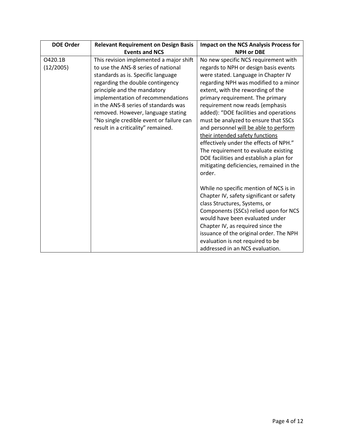| <b>DOE Order</b> | <b>Relevant Requirement on Design Basis</b> | <b>Impact on the NCS Analysis Process for</b> |
|------------------|---------------------------------------------|-----------------------------------------------|
|                  | <b>Events and NCS</b>                       | <b>NPH or DBE</b>                             |
| O420.1B          | This revision implemented a major shift     | No new specific NCS requirement with          |
| (12/2005)        | to use the ANS-8 series of national         | regards to NPH or design basis events         |
|                  | standards as is. Specific language          | were stated. Language in Chapter IV           |
|                  | regarding the double contingency            | regarding NPH was modified to a minor         |
|                  | principle and the mandatory                 | extent, with the rewording of the             |
|                  | implementation of recommendations           | primary requirement. The primary              |
|                  | in the ANS-8 series of standards was        | requirement now reads (emphasis               |
|                  | removed. However, language stating          | added): "DOE facilities and operations        |
|                  | "No single credible event or failure can    | must be analyzed to ensure that SSCs          |
|                  | result in a criticality" remained.          | and personnel will be able to perform         |
|                  |                                             | their intended safety functions               |
|                  |                                             | effectively under the effects of NPH."        |
|                  |                                             | The requirement to evaluate existing          |
|                  |                                             | DOE facilities and establish a plan for       |
|                  |                                             | mitigating deficiencies, remained in the      |
|                  |                                             | order.                                        |
|                  |                                             |                                               |
|                  |                                             | While no specific mention of NCS is in        |
|                  |                                             | Chapter IV, safety significant or safety      |
|                  |                                             | class Structures, Systems, or                 |
|                  |                                             | Components (SSCs) relied upon for NCS         |
|                  |                                             | would have been evaluated under               |
|                  |                                             | Chapter IV, as required since the             |
|                  |                                             | issuance of the original order. The NPH       |
|                  |                                             | evaluation is not required to be              |
|                  |                                             | addressed in an NCS evaluation.               |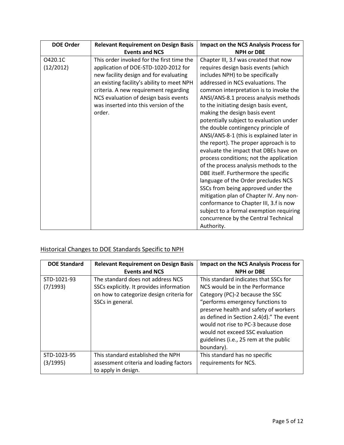| <b>DOE Order</b> | <b>Relevant Requirement on Design Basis</b> | <b>Impact on the NCS Analysis Process for</b> |
|------------------|---------------------------------------------|-----------------------------------------------|
|                  | <b>Events and NCS</b>                       | <b>NPH or DBE</b>                             |
| O420.1C          | This order invoked for the first time the   | Chapter III, 3.f was created that now         |
| (12/2012)        | application of DOE-STD-1020-2012 for        | requires design basis events (which           |
|                  | new facility design and for evaluating      | includes NPH) to be specifically              |
|                  | an existing facility's ability to meet NPH  | addressed in NCS evaluations. The             |
|                  | criteria. A new requirement regarding       | common interpretation is to invoke the        |
|                  | NCS evaluation of design basis events       | ANSI/ANS-8.1 process analysis methods         |
|                  | was inserted into this version of the       | to the initiating design basis event,         |
|                  | order.                                      | making the design basis event                 |
|                  |                                             | potentially subject to evaluation under       |
|                  |                                             | the double contingency principle of           |
|                  |                                             | ANSI/ANS-8-1 (this is explained later in      |
|                  |                                             | the report). The proper approach is to        |
|                  |                                             | evaluate the impact that DBEs have on         |
|                  |                                             | process conditions; not the application       |
|                  |                                             | of the process analysis methods to the        |
|                  |                                             | DBE itself. Furthermore the specific          |
|                  |                                             | language of the Order precludes NCS           |
|                  |                                             | SSCs from being approved under the            |
|                  |                                             | mitigation plan of Chapter IV. Any non-       |
|                  |                                             | conformance to Chapter III, 3.f is now        |
|                  |                                             | subject to a formal exemption requiring       |
|                  |                                             | concurrence by the Central Technical          |
|                  |                                             | Authority.                                    |

# <span id="page-5-0"></span>Historical Changes to DOE Standards Specific to NPH

| <b>DOE Standard</b>     | <b>Relevant Requirement on Design Basis</b><br><b>Events and NCS</b>                                                                          | <b>Impact on the NCS Analysis Process for</b><br><b>NPH or DBE</b>                                                                                                                                                                                                                                                                                                     |
|-------------------------|-----------------------------------------------------------------------------------------------------------------------------------------------|------------------------------------------------------------------------------------------------------------------------------------------------------------------------------------------------------------------------------------------------------------------------------------------------------------------------------------------------------------------------|
| STD-1021-93<br>(7/1993) | The standard does not address NCS<br>SSCs explicitly. It provides information<br>on how to categorize design criteria for<br>SSCs in general. | This standard indicates that SSCs for<br>NCS would be in the Performance<br>Category (PC)-2 because the SSC<br>"performs emergency functions to<br>preserve health and safety of workers<br>as defined in Section 2.4(d)." The event<br>would not rise to PC-3 because dose<br>would not exceed SSC evaluation<br>guidelines (i.e., 25 rem at the public<br>boundary). |
| STD-1023-95<br>(3/1995) | This standard established the NPH<br>assessment criteria and loading factors<br>to apply in design.                                           | This standard has no specific<br>requirements for NCS.                                                                                                                                                                                                                                                                                                                 |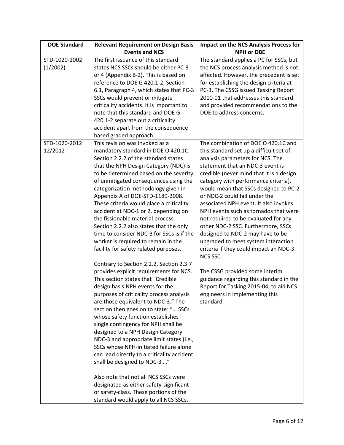| <b>DOE Standard</b>       | <b>Relevant Requirement on Design Basis</b>                                                                                                                                                                                                                                                                                                                                                                                                                                                                                                                                                                                                                                                                                                                                                                                                                                                                                                                                                                                                                                                                                                                                                                                                                                                                                                                                    | <b>Impact on the NCS Analysis Process for</b>                                                                                                                                                                                                                                                                                                                                                                                                                                                                                                                                                                                                                                                                                                                                              |
|---------------------------|--------------------------------------------------------------------------------------------------------------------------------------------------------------------------------------------------------------------------------------------------------------------------------------------------------------------------------------------------------------------------------------------------------------------------------------------------------------------------------------------------------------------------------------------------------------------------------------------------------------------------------------------------------------------------------------------------------------------------------------------------------------------------------------------------------------------------------------------------------------------------------------------------------------------------------------------------------------------------------------------------------------------------------------------------------------------------------------------------------------------------------------------------------------------------------------------------------------------------------------------------------------------------------------------------------------------------------------------------------------------------------|--------------------------------------------------------------------------------------------------------------------------------------------------------------------------------------------------------------------------------------------------------------------------------------------------------------------------------------------------------------------------------------------------------------------------------------------------------------------------------------------------------------------------------------------------------------------------------------------------------------------------------------------------------------------------------------------------------------------------------------------------------------------------------------------|
|                           | <b>Events and NCS</b>                                                                                                                                                                                                                                                                                                                                                                                                                                                                                                                                                                                                                                                                                                                                                                                                                                                                                                                                                                                                                                                                                                                                                                                                                                                                                                                                                          | <b>NPH or DBE</b>                                                                                                                                                                                                                                                                                                                                                                                                                                                                                                                                                                                                                                                                                                                                                                          |
| STD-1020-2002<br>(1/2002) | The first issuance of this standard<br>states NCS SSCs should be either PC-3<br>or 4 (Appendix B-2). This is based on<br>reference to DOE G 420.1-2, Section<br>6.1, Paragraph 4, which states that PC-3<br>SSCs would prevent or mitigate<br>criticality accidents. It is important to<br>note that this standard and DOE G<br>420.1-2 separate out a criticality<br>accident apart from the consequence<br>based graded approach.                                                                                                                                                                                                                                                                                                                                                                                                                                                                                                                                                                                                                                                                                                                                                                                                                                                                                                                                            | The standard applies a PC for SSCs, but<br>the NCS process analysis method is not<br>affected. However, the precedent is set<br>for establishing the design criteria at<br>PC-3. The CSSG issued Tasking Report<br>2010-01 that addresses this standard<br>and provided recommendations to the<br>DOE to address concerns.                                                                                                                                                                                                                                                                                                                                                                                                                                                                 |
| STD-1020-2012<br>12/2012  | This revision was invoked as a<br>mandatory standard in DOE O 420.1C.<br>Section 2.2.2 of the standard states<br>that the NPH Design Category (NDC) is<br>to be determined based on the severity<br>of unmitigated consequences using the<br>categorization methodology given in<br>Appendix A of DOE-STD-1189-2008.<br>These criteria would place a criticality<br>accident at NDC-1 or 2, depending on<br>the fissionable material process.<br>Section 2.2.2 also states that the only<br>time to consider NDC-3 for SSCs is if the<br>worker is required to remain in the<br>facility for safety related purposes.<br>Contrary to Section 2.2.2, Section 2.3.7<br>provides explicit requirements for NCS.<br>This section states that "Credible<br>design basis NPH events for the<br>purposes of criticality process analysis<br>are those equivalent to NDC-3." The<br>section then goes on to state: " SSCs<br>whose safety function establishes<br>single contingency for NPH shall be<br>designed to a NPH Design Category<br>NDC-3 and appropriate limit states (i.e.,<br>SSCs whose NPH-initiated failure alone<br>can lead directly to a criticality accident<br>shall be designed to NDC-3 "<br>Also note that not all NCS SSCs were<br>designated as either safety-significant<br>or safety-class. These portions of the<br>standard would apply to all NCS SSCs. | The combination of DOE O 420.1C and<br>this standard set up a difficult set of<br>analysis parameters for NCS. The<br>statement that an NDC-3 event is<br>credible (never mind that it is a design<br>category with performance criteria),<br>would mean that SSCs designed to PC-2<br>or NDC-2 could fail under the<br>associated NPH event. It also invokes<br>NPH events such as tornados that were<br>not required to be evaluated for any<br>other NDC-2 SSC. Furthermore, SSCs<br>designed to NDC-2 may have to be<br>upgraded to meet system interaction<br>criteria if they could impact an NDC-3<br>NCS SSC.<br>The CSSG provided some interim<br>guidance regarding this standard in the<br>Report for Tasking 2015-04, to aid NCS<br>engineers in implementing this<br>standard |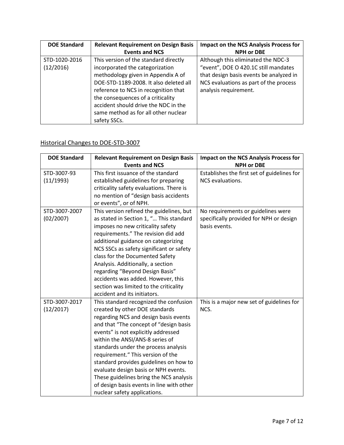| <b>DOE Standard</b> | <b>Relevant Requirement on Design Basis</b> | <b>Impact on the NCS Analysis Process for</b> |
|---------------------|---------------------------------------------|-----------------------------------------------|
|                     | <b>Events and NCS</b>                       | <b>NPH or DBE</b>                             |
| STD-1020-2016       | This version of the standard directly       | Although this eliminated the NDC-3            |
| (12/2016)           | incorporated the categorization             | "event", DOE O 420.1C still mandates          |
|                     | methodology given in Appendix A of          | that design basis events be analyzed in       |
|                     | DOE-STD-1189-2008. It also deleted all      | NCS evaluations as part of the process        |
|                     | reference to NCS in recognition that        | analysis requirement.                         |
|                     | the consequences of a criticality           |                                               |
|                     | accident should drive the NDC in the        |                                               |
|                     | same method as for all other nuclear        |                                               |
|                     | safety SSCs.                                |                                               |

# <span id="page-7-0"></span>Historical Changes to DOE-STD-3007

| <b>DOE Standard</b> | <b>Relevant Requirement on Design Basis</b>                                                                                                                                                                                                                                                                                                                   | <b>Impact on the NCS Analysis Process for</b> |
|---------------------|---------------------------------------------------------------------------------------------------------------------------------------------------------------------------------------------------------------------------------------------------------------------------------------------------------------------------------------------------------------|-----------------------------------------------|
|                     | <b>Events and NCS</b>                                                                                                                                                                                                                                                                                                                                         | <b>NPH or DBE</b>                             |
| STD-3007-93         | This first issuance of the standard                                                                                                                                                                                                                                                                                                                           | Establishes the first set of guidelines for   |
| (11/1993)           | established guidelines for preparing                                                                                                                                                                                                                                                                                                                          | NCS evaluations.                              |
|                     | criticality safety evaluations. There is                                                                                                                                                                                                                                                                                                                      |                                               |
|                     | no mention of "design basis accidents                                                                                                                                                                                                                                                                                                                         |                                               |
|                     | or events", or of NPH.                                                                                                                                                                                                                                                                                                                                        |                                               |
| STD-3007-2007       | This version refined the guidelines, but                                                                                                                                                                                                                                                                                                                      | No requirements or guidelines were            |
| (02/2007)           | as stated in Section 1, " This standard                                                                                                                                                                                                                                                                                                                       | specifically provided for NPH or design       |
|                     | imposes no new criticality safety                                                                                                                                                                                                                                                                                                                             | basis events.                                 |
|                     | requirements." The revision did add                                                                                                                                                                                                                                                                                                                           |                                               |
|                     | additional guidance on categorizing                                                                                                                                                                                                                                                                                                                           |                                               |
|                     | NCS SSCs as safety significant or safety                                                                                                                                                                                                                                                                                                                      |                                               |
|                     | class for the Documented Safety                                                                                                                                                                                                                                                                                                                               |                                               |
|                     | Analysis. Additionally, a section                                                                                                                                                                                                                                                                                                                             |                                               |
|                     | regarding "Beyond Design Basis"                                                                                                                                                                                                                                                                                                                               |                                               |
|                     | accidents was added. However, this                                                                                                                                                                                                                                                                                                                            |                                               |
|                     | section was limited to the criticality                                                                                                                                                                                                                                                                                                                        |                                               |
|                     | accident and its initiators.                                                                                                                                                                                                                                                                                                                                  |                                               |
| STD-3007-2017       | This standard recognized the confusion                                                                                                                                                                                                                                                                                                                        | This is a major new set of guidelines for     |
| (12/2017)           | created by other DOE standards                                                                                                                                                                                                                                                                                                                                | NCS.                                          |
|                     | regarding NCS and design basis events                                                                                                                                                                                                                                                                                                                         |                                               |
|                     | and that "The concept of "design basis                                                                                                                                                                                                                                                                                                                        |                                               |
|                     |                                                                                                                                                                                                                                                                                                                                                               |                                               |
|                     |                                                                                                                                                                                                                                                                                                                                                               |                                               |
|                     |                                                                                                                                                                                                                                                                                                                                                               |                                               |
|                     |                                                                                                                                                                                                                                                                                                                                                               |                                               |
|                     |                                                                                                                                                                                                                                                                                                                                                               |                                               |
|                     |                                                                                                                                                                                                                                                                                                                                                               |                                               |
|                     |                                                                                                                                                                                                                                                                                                                                                               |                                               |
|                     |                                                                                                                                                                                                                                                                                                                                                               |                                               |
|                     | events" is not explicitly addressed<br>within the ANSI/ANS-8 series of<br>standards under the process analysis<br>requirement." This version of the<br>standard provides guidelines on how to<br>evaluate design basis or NPH events.<br>These guidelines bring the NCS analysis<br>of design basis events in line with other<br>nuclear safety applications. |                                               |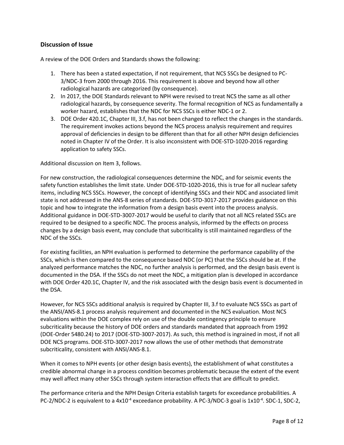## <span id="page-8-0"></span>**Discussion of Issue**

A review of the DOE Orders and Standards shows the following:

- 1. There has been a stated expectation, if not requirement, that NCS SSCs be designed to PC-3/NDC-3 from 2000 through 2016. This requirement is above and beyond how all other radiological hazards are categorized (by consequence).
- 2. In 2017, the DOE Standards relevant to NPH were revised to treat NCS the same as all other radiological hazards, by consequence severity. The formal recognition of NCS as fundamentally a worker hazard, establishes that the NDC for NCS SSCs is either NDC-1 or 2.
- 3. DOE Order 420.1C, Chapter III, 3.f, has not been changed to reflect the changes in the standards. The requirement invokes actions beyond the NCS process analysis requirement and requires approval of deficiencies in design to be different than that for all other NPH design deficiencies noted in Chapter IV of the Order. It is also inconsistent with DOE-STD-1020-2016 regarding application to safety SSCs.

Additional discussion on Item 3, follows.

For new construction, the radiological consequences determine the NDC, and for seismic events the safety function establishes the limit state. Under DOE-STD-1020-2016, this is true for all nuclear safety items, including NCS SSCs. However, the concept of identifying SSCs and their NDC and associated limit state is not addressed in the ANS-8 series of standards. DOE-STD-3017-2017 provides guidance on this topic and how to integrate the information from a design basis event into the process analysis. Additional guidance in DOE-STD-3007-2017 would be useful to clarify that not all NCS related SSCs are required to be designed to a specific NDC. The process analysis, informed by the effects on process changes by a design basis event, may conclude that subcriticality is still maintained regardless of the NDC of the SSCs.

For existing facilities, an NPH evaluation is performed to determine the performance capability of the SSCs, which is then compared to the consequence based NDC (or PC) that the SSCs should be at. If the analyzed performance matches the NDC, no further analysis is performed, and the design basis event is documented in the DSA. If the SSCs do not meet the NDC, a mitigation plan is developed in accordance with DOE Order 420.1C, Chapter IV, and the risk associated with the design basis event is documented in the DSA.

However, for NCS SSCs additional analysis is required by Chapter III, 3.f to evaluate NCS SSCs as part of the ANSI/ANS-8.1 process analysis requirement and documented in the NCS evaluation. Most NCS evaluations within the DOE complex rely on use of the double contingency principle to ensure subcriticality because the history of DOE orders and standards mandated that approach from 1992 (DOE-Order 5480.24) to 2017 (DOE-STD-3007-2017). As such, this method is ingrained in most, if not all DOE NCS programs. DOE-STD-3007-2017 now allows the use of other methods that demonstrate subcriticality, consistent with ANSI/ANS-8.1.

When it comes to NPH events (or other design basis events), the establishment of what constitutes a credible abnormal change in a process condition becomes problematic because the extent of the event may well affect many other SSCs through system interaction effects that are difficult to predict.

The performance criteria and the NPH Design Criteria establish targets for exceedance probabilities. A PC-2/NDC-2 is equivalent to a 4x10<sup>-4</sup> exceedance probability. A PC-3/NDC-3 goal is 1x10<sup>-4</sup>. SDC-1, SDC-2,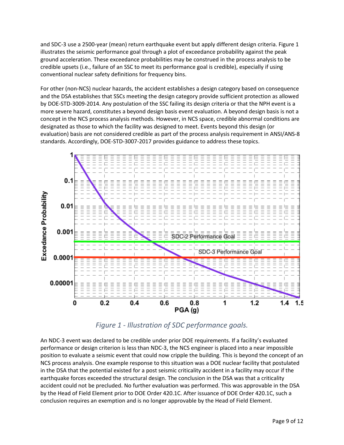and SDC-3 use a 2500-year (mean) return earthquake event but apply different design criteria. Figure 1 illustrates the seismic performance goal through a plot of exceedance probability against the peak ground acceleration. These exceedance probabilities may be construed in the process analysis to be credible upsets (i.e., failure of an SSC to meet its performance goal is credible), especially if using conventional nuclear safety definitions for frequency bins.

For other (non-NCS) nuclear hazards, the accident establishes a design category based on consequence and the DSA establishes that SSCs meeting the design category provide sufficient protection as allowed by DOE-STD-3009-2014. Any postulation of the SSC failing its design criteria or that the NPH event is a more severe hazard, constitutes a beyond design basis event evaluation. A beyond design basis is not a concept in the NCS process analysis methods. However, in NCS space, credible abnormal conditions are designated as those to which the facility was designed to meet. Events beyond this design (or evaluation) basis are not considered credible as part of the process analysis requirement in ANSI/ANS-8 standards. Accordingly, DOE-STD-3007-2017 provides guidance to address these topics.



*Figure 1 - Illustration of SDC performance goals.*

An NDC-3 event was declared to be credible under prior DOE requirements. If a facility's evaluated performance or design criterion is less than NDC-3, the NCS engineer is placed into a near impossible position to evaluate a seismic event that could now cripple the building. This is beyond the concept of an NCS process analysis. One example response to this situation was a DOE nuclear facility that postulated in the DSA that the potential existed for a post seismic criticality accident in a facility may occur if the earthquake forces exceeded the structural design. The conclusion in the DSA was that a criticality accident could not be precluded. No further evaluation was performed. This was approvable in the DSA by the Head of Field Element prior to DOE Order 420.1C. After issuance of DOE Order 420.1C, such a conclusion requires an exemption and is no longer approvable by the Head of Field Element.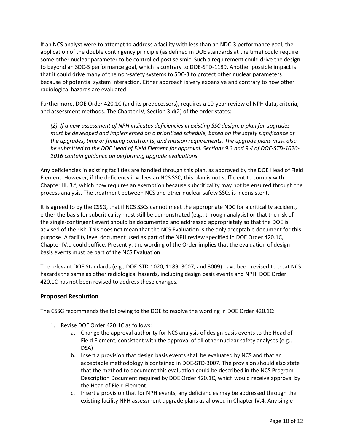If an NCS analyst were to attempt to address a facility with less than an NDC-3 performance goal, the application of the double contingency principle (as defined in DOE standards at the time) could require some other nuclear parameter to be controlled post seismic. Such a requirement could drive the design to beyond an SDC-3 performance goal, which is contrary to DOE-STD-1189. Another possible impact is that it could drive many of the non-safety systems to SDC-3 to protect other nuclear parameters because of potential system interaction. Either approach is very expensive and contrary to how other radiological hazards are evaluated.

Furthermore, DOE Order 420.1C (and its predecessors), requires a 10-year review of NPH data, criteria, and assessment methods. The Chapter IV, Section 3.d(2) of the order states:

*(2) If a new assessment of NPH indicates deficiencies in existing SSC design, a plan for upgrades must be developed and implemented on a prioritized schedule, based on the safety significance of the upgrades, time or funding constraints, and mission requirements. The upgrade plans must also be submitted to the DOE Head of Field Element for approval. Sections 9.3 and 9.4 of DOE-STD-1020- 2016 contain guidance on performing upgrade evaluations.*

Any deficiencies in existing facilities are handled through this plan, as approved by the DOE Head of Field Element. However, if the deficiency involves an NCS SSC, this plan is not sufficient to comply with Chapter III, 3.f, which now requires an exemption because subcriticality may not be ensured through the process analysis. The treatment between NCS and other nuclear safety SSCs is inconsistent.

It is agreed to by the CSSG, that if NCS SSCs cannot meet the appropriate NDC for a criticality accident, either the basis for subcriticality must still be demonstrated (e.g., through analysis) or that the risk of the single-contingent event should be documented and addressed appropriately so that the DOE is advised of the risk. This does not mean that the NCS Evaluation is the only acceptable document for this purpose. A facility level document used as part of the NPH review specified in DOE Order 420.1C, Chapter IV.d could suffice. Presently, the wording of the Order implies that the evaluation of design basis events must be part of the NCS Evaluation.

The relevant DOE Standards (e.g., DOE-STD-1020, 1189, 3007, and 3009) have been revised to treat NCS hazards the same as other radiological hazards, including design basis events and NPH. DOE Order 420.1C has not been revised to address these changes.

## <span id="page-10-0"></span>**Proposed Resolution**

The CSSG recommends the following to the DOE to resolve the wording in DOE Order 420.1C:

- 1. Revise DOE Order 420.1C as follows:
	- a. Change the approval authority for NCS analysis of design basis events to the Head of Field Element, consistent with the approval of all other nuclear safety analyses (e.g., DSA)
	- b. Insert a provision that design basis events shall be evaluated by NCS and that an acceptable methodology is contained in DOE-STD-3007. The provision should also state that the method to document this evaluation could be described in the NCS Program Description Document required by DOE Order 420.1C, which would receive approval by the Head of Field Element.
	- c. Insert a provision that for NPH events, any deficiencies may be addressed through the existing facility NPH assessment upgrade plans as allowed in Chapter IV.4. Any single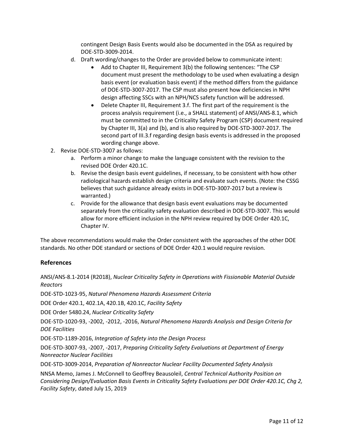contingent Design Basis Events would also be documented in the DSA as required by DOE-STD-3009-2014.

- d. Draft wording/changes to the Order are provided below to communicate intent:
	- Add to Chapter III, Requirement 3(b) the following sentences: "The CSP document must present the methodology to be used when evaluating a design basis event (or evaluation basis event) if the method differs from the guidance of DOE-STD-3007-2017. The CSP must also present how deficiencies in NPH design affecting SSCs with an NPH/NCS safety function will be addressed.
	- Delete Chapter III, Requirement 3.f. The first part of the requirement is the process analysis requirement (i.e., a SHALL statement) of ANSI/ANS-8.1, which must be committed to in the Criticality Safety Program (CSP) document required by Chapter III, 3(a) and (b), and is also required by DOE-STD-3007-2017. The second part of III.3.f regarding design basis events is addressed in the proposed wording change above.
- 2. Revise DOE-STD-3007 as follows:
	- a. Perform a minor change to make the language consistent with the revision to the revised DOE Order 420.1C.
	- b. Revise the design basis event guidelines, if necessary, to be consistent with how other radiological hazards establish design criteria and evaluate such events. (Note: the CSSG believes that such guidance already exists in DOE-STD-3007-2017 but a review is warranted.)
	- c. Provide for the allowance that design basis event evaluations may be documented separately from the criticality safety evaluation described in DOE-STD-3007. This would allow for more efficient inclusion in the NPH review required by DOE Order 420.1C, Chapter IV.

The above recommendations would make the Order consistent with the approaches of the other DOE standards. No other DOE standard or sections of DOE Order 420.1 would require revision.

### <span id="page-11-0"></span>**References**

ANSI/ANS-8.1-2014 (R2018), *Nuclear Criticality Safety in Operations with Fissionable Material Outside Reactors*

DOE-STD-1023-95, *Natural Phenomena Hazards Assessment Criteria*

DOE Order 420.1, 402.1A, 420.1B, 420.1C, *Facility Safety*

DOE Order 5480.24, *Nuclear Criticality Safety*

DOE-STD-1020-93, -2002, -2012, -2016, *Natural Phenomena Hazards Analysis and Design Criteria for DOE Facilities*

DOE-STD-1189-2016, *Integration of Safety into the Design Process*

DOE-STD-3007-93, -2007, -2017, *Preparing Criticality Safety Evaluations at Department of Energy Nonreactor Nuclear Facilities*

DOE-STD-3009-2014, *Preparation of Nonreactor Nuclear Facility Documented Safety Analysis*

NNSA Memo, James J. McConnell to Geoffrey Beausoleil, *Central Technical Authority Position on Considering Design/Evaluation Basis Events in Criticality Safety Evaluations per DOE Order 420.1C, Chg 2, Facility Safety*, dated July 15, 2019